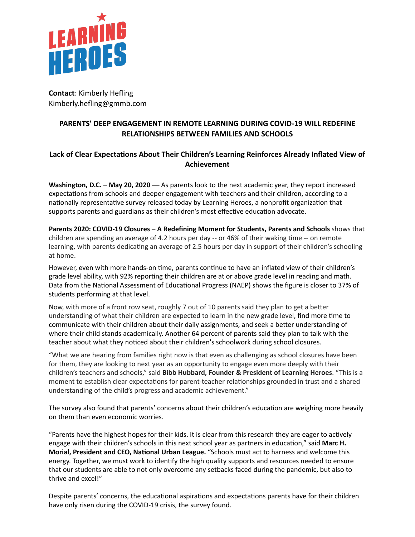

**Contact**: Kimberly Hefling Kimberly.hefling@gmmb.com

## **PARENTS' DEEP ENGAGEMENT IN REMOTE LEARNING DURING COVID-19 WILL REDEFINE RELATIONSHIPS BETWEEN FAMILIES AND SCHOOLS**

## Lack of Clear Expectations About Their Children's Learning Reinforces Already Inflated View of **Achievement**

**Washington, D.C. – May 20, 2020** — As parents look to the next academic year, they report increased expectations from schools and deeper engagement with teachers and their children, according to a nationally representative survey released today by Learning Heroes, a nonprofit organization that supports parents and guardians as their children's most effective education advocate.

**Parents 2020: COVID-19 Closures – A Redefining Moment for Students, Parents and Schools** shows that children are spending an average of 4.2 hours per day  $-$  or 46% of their waking time  $-$  on remote learning, with parents dedicating an average of 2.5 hours per day in support of their children's schooling at home.

However, even with more hands-on time, parents continue to have an inflated view of their children's grade level ability, with 92% reporting their children are at or above grade level in reading and math. Data from the National Assessment of Educational Progress (NAEP) shows the figure is closer to 37% of students performing at that level.

Now, with more of a front row seat, roughly 7 out of 10 parents said they plan to get a better understanding of what their children are expected to learn in the new grade level, find more time to communicate with their children about their daily assignments, and seek a better understanding of where their child stands academically. Another 64 percent of parents said they plan to talk with the teacher about what they noticed about their children's schoolwork during school closures.

"What we are hearing from families right now is that even as challenging as school closures have been for them, they are looking to next year as an opportunity to engage even more deeply with their children's teachers and schools," said **Bibb Hubbard, Founder & President of Learning Heroes**. "This is a moment to establish clear expectations for parent-teacher relationships grounded in trust and a shared understanding of the child's progress and academic achievement."

The survey also found that parents' concerns about their children's education are weighing more heavily on them than even economic worries.

"Parents have the highest hopes for their kids. It is clear from this research they are eager to actively engage with their children's schools in this next school year as partners in education," said Marc H. **Morial, President and CEO, National Urban League.** "Schools must act to harness and welcome this energy. Together, we must work to identify the high quality supports and resources needed to ensure that our students are able to not only overcome any setbacks faced during the pandemic, but also to thrive and excel!"

Despite parents' concerns, the educational aspirations and expectations parents have for their children have only risen during the COVID-19 crisis, the survey found.